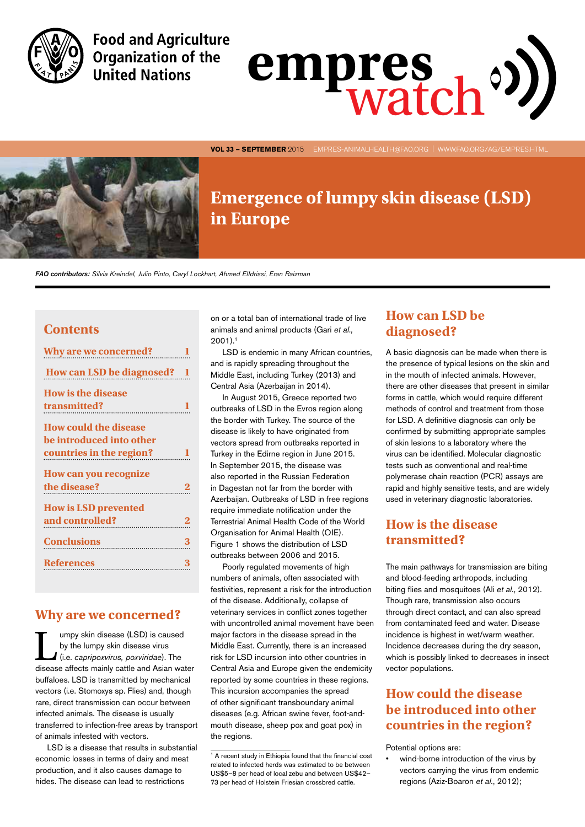

**Food and Agriculture Organization of the United Nations** 



**VOL 33 — SEPTEMBER** 2015 EMPRES-AnimalHealth@fao.org | www.fao.org/ag/empres.html



# **Emergence of lumpy skin disease (LSD) in Europe**

*FAO contributors: Silvia Kreindel, Julio Pinto, Caryl Lockhart, Ahmed ElIdrissi, Eran Raizman*

#### **Contents**

| Why are we concerned?<br>1                                                           |          |
|--------------------------------------------------------------------------------------|----------|
| How can LSD be diagnosed? 1                                                          |          |
| <b>How is the disease</b><br>transmitted?                                            | 1        |
| <b>How could the disease</b><br>be introduced into other<br>countries in the region? |          |
| How can you recognize<br>the disease?                                                | $\bf{2}$ |
| <b>How is LSD prevented</b><br>and controlled?<br>2                                  |          |
| Conclusions 3                                                                        |          |
| References 3                                                                         |          |
|                                                                                      |          |

#### **Why are we concerned?**

umpy skin disease (LSD) is caused by the lumpy skin disease virus (i.e. *capripoxvirus, poxviridae*). The disease affects mainly cattle and Asian water buffaloes. LSD is transmitted by mechanical vectors (i.e. Stomoxys sp. Flies) and, though rare, direct transmission can occur between infected animals. The disease is usually transferred to infection-free areas by transport of animals infested with vectors.

LSD is a disease that results in substantial economic losses in terms of dairy and meat production, and it also causes damage to hides. The disease can lead to restrictions

on or a total ban of international trade of live animals and animal products (Gari *et al.,*   $2001$ ).<sup>1</sup>

LSD is endemic in many African countries, and is rapidly spreading throughout the Middle East, including Turkey (2013) and Central Asia (Azerbaijan in 2014).

In August 2015, Greece reported two outbreaks of LSD in the Evros region along the border with Turkey. The source of the disease is likely to have originated from vectors spread from outbreaks reported in Turkey in the Edirne region in June 2015. In September 2015, the disease was also reported in the Russian Federation in Dagestan not far from the border with Azerbaijan. Outbreaks of LSD in free regions require immediate notification under the Terrestrial Animal Health Code of the World Organisation for Animal Health (OIE). Figure 1 shows the distribution of LSD outbreaks between 2006 and 2015.

Poorly regulated movements of high numbers of animals, often associated with festivities, represent a risk for the introduction of the disease. Additionally, collapse of veterinary services in conflict zones together with uncontrolled animal movement have been major factors in the disease spread in the Middle East. Currently, there is an increased risk for LSD incursion into other countries in Central Asia and Europe given the endemicity reported by some countries in these regions. This incursion accompanies the spread of other significant transboundary animal diseases (e.g. African swine fever, foot-andmouth disease, sheep pox and goat pox) in the regions.

## **How can LSD be diagnosed?**

A basic diagnosis can be made when there is the presence of typical lesions on the skin and in the mouth of infected animals. However, there are other diseases that present in similar forms in cattle, which would require different methods of control and treatment from those for LSD. A definitive diagnosis can only be confirmed by submitting appropriate samples of skin lesions to a laboratory where the virus can be identified. Molecular diagnostic tests such as conventional and real-time polymerase chain reaction (PCR) assays are rapid and highly sensitive tests, and are widely used in veterinary diagnostic laboratories.

# **How is the disease transmitted?**

The main pathways for transmission are biting and blood-feeding arthropods, including biting flies and mosquitoes (Ali *et al.*, 2012). Though rare, transmission also occurs through direct contact, and can also spread from contaminated feed and water. Disease incidence is highest in wet/warm weather. Incidence decreases during the dry season, which is possibly linked to decreases in insect vector populations.

# **How could the disease be introduced into other countries in the region?**

Potential options are:

wind-borne introduction of the virus by vectors carrying the virus from endemic regions (Aziz-Boaron *et al.*, 2012);

<sup>&</sup>lt;sup>1</sup> A recent study in Ethiopia found that the financial cost related to infected herds was estimated to be between US\$5–8 per head of local zebu and between US\$42– 73 per head of Holstein Friesian crossbred cattle.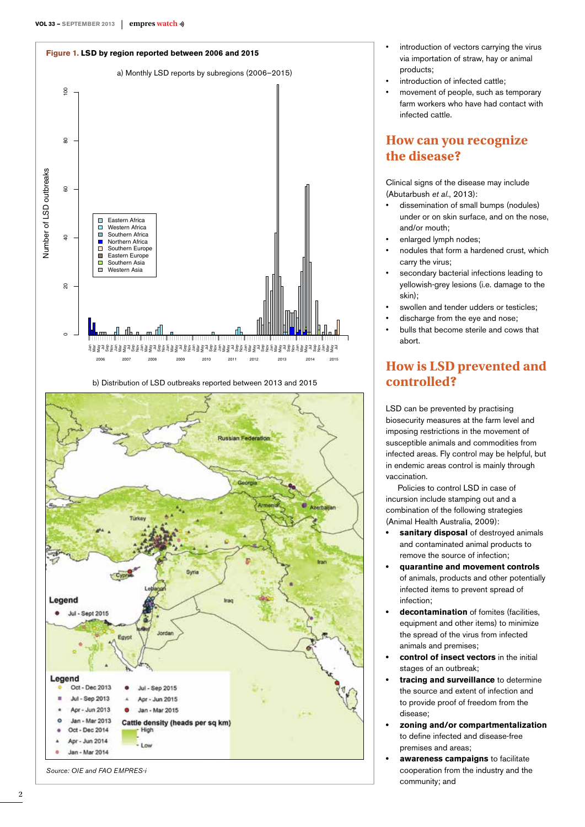

b) Distribution of LSD outbreaks reported between 2013 and 2015



- introduction of vectors carrying the virus via importation of straw, hay or animal products;
- introduction of infected cattle;
- movement of people, such as temporary farm workers who have had contact with infected cattle.

### **How can you recognize the disease?**

Clinical signs of the disease may include (Abutarbush *et al.*, 2013):

- • dissemination of small bumps (nodules) under or on skin surface, and on the nose, and/or mouth;
- enlarged lymph nodes;
- nodules that form a hardened crust, which carry the virus;
- secondary bacterial infections leading to yellowish-grey lesions (i.e. damage to the skin);
- swollen and tender udders or testicles;
- discharge from the eye and nose;
- bulls that become sterile and cows that abort.

# **How is LSD prevented and controlled?**

LSD can be prevented by practising biosecurity measures at the farm level and imposing restrictions in the movement of susceptible animals and commodities from infected areas. Fly control may be helpful, but in endemic areas control is mainly through vaccination.

Policies to control LSD in case of incursion include stamping out and a combination of the following strategies (Animal Health Australia, 2009):

- **sanitary disposal** of destroyed animals and contaminated animal products to remove the source of infection;
- **• quarantine and movement controls** of animals, products and other potentially infected items to prevent spread of infection;
- **• decontamination** of fomites (facilities, equipment and other items) to minimize the spread of the virus from infected animals and premises;
- **• control of insect vectors** in the initial stages of an outbreak;
- **tracing and surveillance** to determine the source and extent of infection and to provide proof of freedom from the disease;
- **• zoning and/or compartmentalization** to define infected and disease-free premises and areas;
- **awareness campaigns** to facilitate cooperation from the industry and the community; and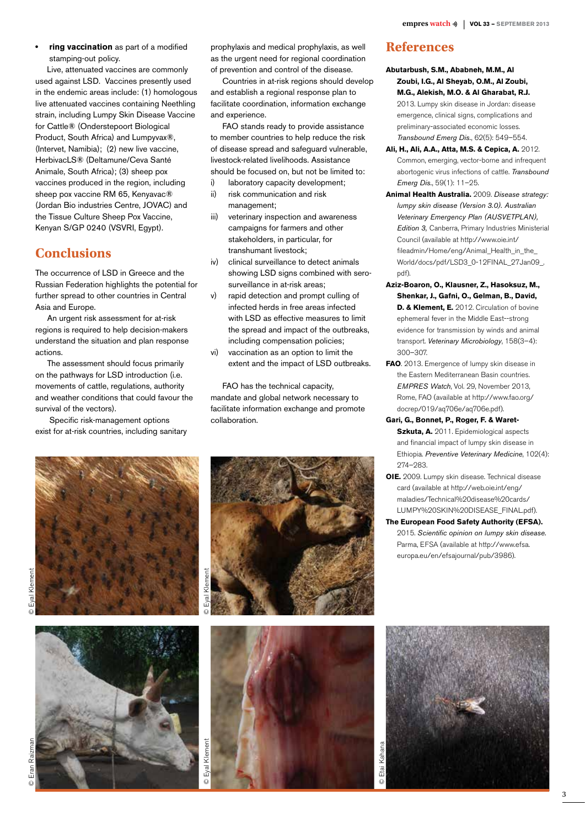**ring vaccination** as part of a modified stamping-out policy.

Live, attenuated vaccines are commonly used against LSD. Vaccines presently used in the endemic areas include: (1) homologous live attenuated vaccines containing Neethling strain, including Lumpy Skin Disease Vaccine for Cattle® (Onderstepoort Biological Product, South Africa) and Lumpyvax®, (Intervet, Namibia); (2) new live vaccine, HerbivacLS® (Deltamune/Ceva Santé Animale, South Africa); (3) sheep pox vaccines produced in the region, including sheep pox vaccine RM 65, Kenyavac® (Jordan Bio industries Centre, JOVAC) and the Tissue Culture Sheep Pox Vaccine, Kenyan S/GP 0240 (VSVRI, Egypt).

### **Conclusions**

The occurrence of LSD in Greece and the Russian Federation highlights the potential for further spread to other countries in Central Asia and Europe.

An urgent risk assessment for at-risk regions is required to help decision-makers understand the situation and plan response actions.

The assessment should focus primarily on the pathways for LSD introduction (i.e. movements of cattle, regulations, authority and weather conditions that could favour the survival of the vectors).

Specific risk-management options exist for at-risk countries, including sanitary prophylaxis and medical prophylaxis, as well as the urgent need for regional coordination of prevention and control of the disease.

Countries in at-risk regions should develop and establish a regional response plan to facilitate coordination, information exchange and experience.

FAO stands ready to provide assistance to member countries to help reduce the risk of disease spread and safeguard vulnerable, livestock-related livelihoods. Assistance should be focused on, but not be limited to:

- i) laboratory capacity development; ii) risk communication and risk
- management; iii) veterinary inspection and awareness campaigns for farmers and other stakeholders, in particular, for
- transhumant livestock; iv) clinical surveillance to detect animals showing LSD signs combined with sero-
- surveillance in at-risk areas; v) rapid detection and prompt culling of infected herds in free areas infected with LSD as effective measures to limit the spread and impact of the outbreaks, including compensation policies;
- vi) vaccination as an option to limit the extent and the impact of LSD outbreaks.

FAO has the technical capacity, mandate and global network necessary to facilitate information exchange and promote collaboration.









#### **References**

- **Abutarbush, S.M., Ababneh, M.M., Al Zoubi, I.G., Al Sheyab, O.M., Al Zoubi, M.G., Alekish, M.O. & Al Gharabat, R.J.** 2013. Lumpy skin disease in Jordan: disease emergence, clinical signs, complications and preliminary-associated economic losses. *Transbound Emerg Dis.*, 62(5): 549–554.
- **Ali, H., Ali, A.A., Atta, M.S. & Cepica, A.** 2012. Common, emerging, vector-borne and infrequent abortogenic virus infections of cattle. *Transbound Emerg Dis.*, 59(1): 11–25.
- **Animal Health Australia.** 2009. *Disease strategy: lumpy skin disease (Version 3.0). Australian Veterinary Emergency Plan (AUSVETPLAN), Edition 3,* Canberra, Primary Industries Ministerial Council (available at http://www.oie.int/ fileadmin/Home/eng/Animal\_Health\_in\_the\_ World/docs/pdf/LSD3\_0-12FINAL\_27Jan09\_. pdf).
- **Aziz-Boaron, O., Klausner, Z., Hasoksuz, M., Shenkar, J., Gafni, O., Gelman, B., David, D. & Klement, E.** 2012. Circulation of bovine ephemeral fever in the Middle East--strong evidence for transmission by winds and animal transport. *Veterinary Microbiology*, 158(3–4): 300–307.
- **FAO**. 2013. Emergence of lumpy skin disease in the Eastern Mediterranean Basin countries. *EMPRES Watch*, Vol. 29, November 2013, Rome, FAO (available at http://www.fao.org/ docrep/019/aq706e/aq706e.pdf).
- **Gari, G., Bonnet, P., Roger, F. & Waret-Szkuta, A.** 2011. Epidemiological aspects and financial impact of lumpy skin disease in Ethiopia. *Preventive Veterinary Medicine*, 102(4): 274–283.
- **OIE.** 2009. Lumpy skin disease. Technical disease card (available at http://web.oie.int/eng/ maladies/Technical%20disease%20cards/ LUMPY%20SKIN%20DISEASE\_FINAL.pdf).
- **The European Food Safety Authority (EFSA).** 2015. *Scientific opinion on lumpy skin disease.* Parma, EFSA (available at http://www.efsa. europa.eu/en/efsajournal/pub/3986).



Raizm

Eval Klement